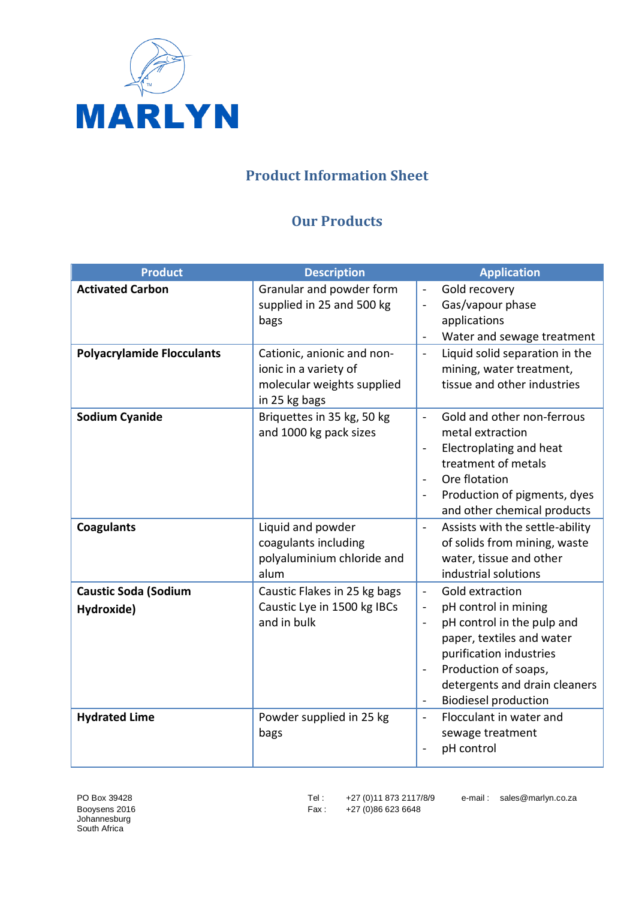

## **Product Information Sheet**

## **Our Products**

| <b>Product</b>                            | <b>Description</b>                                                                                 | <b>Application</b>                                                                                                                                                                                                                                                                                              |
|-------------------------------------------|----------------------------------------------------------------------------------------------------|-----------------------------------------------------------------------------------------------------------------------------------------------------------------------------------------------------------------------------------------------------------------------------------------------------------------|
| <b>Activated Carbon</b>                   | Granular and powder form<br>supplied in 25 and 500 kg<br>bags                                      | Gold recovery<br>$\blacksquare$<br>Gas/vapour phase<br>$\overline{\phantom{a}}$<br>applications<br>Water and sewage treatment                                                                                                                                                                                   |
| <b>Polyacrylamide Flocculants</b>         | Cationic, anionic and non-<br>ionic in a variety of<br>molecular weights supplied<br>in 25 kg bags | Liquid solid separation in the<br>$\blacksquare$<br>mining, water treatment,<br>tissue and other industries                                                                                                                                                                                                     |
| <b>Sodium Cyanide</b>                     | Briquettes in 35 kg, 50 kg<br>and 1000 kg pack sizes                                               | Gold and other non-ferrous<br>$\mathbf{r}$<br>metal extraction<br>Electroplating and heat<br>$\overline{a}$<br>treatment of metals<br>Ore flotation<br>$\blacksquare$<br>Production of pigments, dyes<br>$\blacksquare$<br>and other chemical products                                                          |
| <b>Coagulants</b>                         | Liquid and powder<br>coagulants including<br>polyaluminium chloride and<br>alum                    | Assists with the settle-ability<br>$\mathbf{r}$<br>of solids from mining, waste<br>water, tissue and other<br>industrial solutions                                                                                                                                                                              |
| <b>Caustic Soda (Sodium</b><br>Hydroxide) | Caustic Flakes in 25 kg bags<br>Caustic Lye in 1500 kg IBCs<br>and in bulk                         | Gold extraction<br>$\blacksquare$<br>pH control in mining<br>$\blacksquare$<br>pH control in the pulp and<br>$\blacksquare$<br>paper, textiles and water<br>purification industries<br>Production of soaps,<br>$\blacksquare$<br>detergents and drain cleaners<br><b>Biodiesel production</b><br>$\blacksquare$ |
| <b>Hydrated Lime</b>                      | Powder supplied in 25 kg<br>bags                                                                   | Flocculant in water and<br>$\blacksquare$<br>sewage treatment<br>pH control                                                                                                                                                                                                                                     |

Booysens 2016 **Fax** : +27 (0)86 623 6648